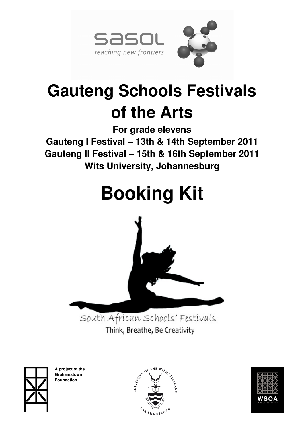

# **Gauteng Schools Festivals of the Arts**

**For grade elevens Gauteng I Festival – 13th & 14th September 2011 Gauteng II Festival – 15th & 16th September 2011 Wits University, Johannesburg** 

# **Booking Kit**



South African Schools' Festivals Think, Breathe, Be Creativity

**A project of the Grahamstown Foundation** 



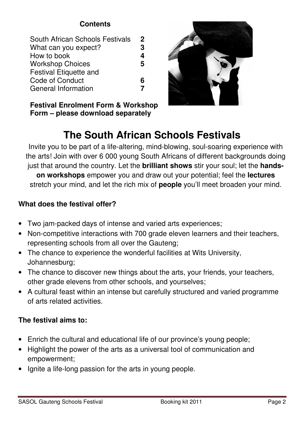# **Contents**

| South African Schools Festivals | $\mathbf{2}$ |
|---------------------------------|--------------|
| What can you expect?            | 3            |
| How to book                     | 4            |
| <b>Workshop Choices</b>         | 5            |
| <b>Festival Etiquette and</b>   |              |
| Code of Conduct                 | 6            |
| <b>General Information</b>      |              |
|                                 |              |

**Festival Enrolment Form & Workshop Form – please download separately** 

# **The South African Schools Festivals**

Invite you to be part of a life-altering, mind-blowing, soul-soaring experience with the arts! Join with over 6 000 young South Africans of different backgrounds doing just that around the country. Let the **brilliant shows** stir your soul; let the **handson workshops** empower you and draw out your potential; feel the **lectures** stretch your mind, and let the rich mix of **people** you'll meet broaden your mind.

# **What does the festival offer?**

- Two jam-packed days of intense and varied arts experiences;
- Non-competitive interactions with 700 grade eleven learners and their teachers, representing schools from all over the Gauteng;
- The chance to experience the wonderful facilities at Wits University, Johannesburg;
- The chance to discover new things about the arts, your friends, your teachers, other grade elevens from other schools, and yourselves;
- A cultural feast within an intense but carefully structured and varied programme of arts related activities.

# **The festival aims to:**

- Enrich the cultural and educational life of our province's young people;
- Highlight the power of the arts as a universal tool of communication and empowerment;
- Ignite a life-long passion for the arts in young people.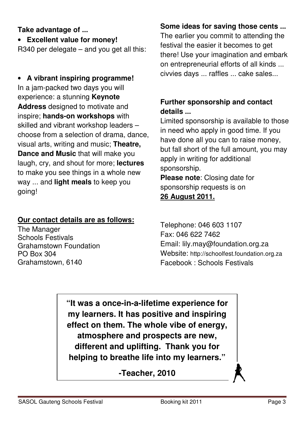## **Take advantage of ...**

• **Excellent value for money!** 

R340 per delegate – and you get all this:

# • **A vibrant inspiring programme!** In a jam-packed two days you will experience: a stunning **Keynote Address** designed to motivate and inspire; **hands-on workshops** with skilled and vibrant workshop leaders – choose from a selection of drama, dance, visual arts, writing and music; **Theatre, Dance and Music** that will make you laugh, cry, and shout for more; **lectures** to make you see things in a whole new way ... and **light meals** to keep you going!

# **Our contact details are as follows:**

The Manager Schools Festivals Grahamstown Foundation PO Box 304 Grahamstown, 6140

# **Some ideas for saving those cents ...**

The earlier you commit to attending the festival the easier it becomes to get there! Use your imagination and embark on entrepreneurial efforts of all kinds ... civvies days ... raffles ... cake sales...

# **Further sponsorship and contact details ...**

Limited sponsorship is available to those in need who apply in good time. If you have done all you can to raise money, but fall short of the full amount, you may apply in writing for additional sponsorship. **Please note**: Closing date for

sponsorship requests is on

# **26 August 2011.**

Telephone: 046 603 1107 Fax: 046 622 7462 Email: lily.may@foundation.org.za Website: http://schoolfest.foundation.org.za Facebook : Schools Festivals

**"It was a once-in-a-lifetime experience for my learners. It has positive and inspiring effect on them. The whole vibe of energy, atmosphere and prospects are new, different and uplifting. Thank you for helping to breathe life into my learners."** 

**-Teacher, 2010**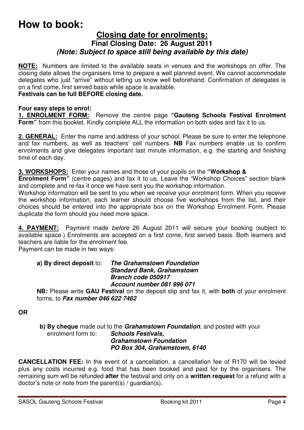# **How to book:**

## **Closing date for enrolments: Final Closing Date: 26 August 2011**  *(Note: Subject to space still being available by this date)*

**NOTE:** Numbers are limited to the available seats in venues and the workshops on offer. The closing date allows the organisers time to prepare a well planned event. We cannot accommodate delegates who just "arrive" without letting us know well beforehand. Confirmation of delegates is on a first come, first served basis while space is available.

#### **Festivals can be full BEFORE closing date.**

#### **Four easy steps to enrol:**

**1. ENROLMENT FORM:** Remove the centre page **"Gauteng Schools Festival Enrolment Form"** from this booklet. Kindly complete ALL the information on both sides and fax it to us.

**2. GENERAL:** Enter the name and address of your school. Please be sure to enter the telephone and fax numbers, as well as teachers' cell numbers. **NB** Fax numbers enable us to confirm enrolments and give delegates important last minute information, e.g. the starting and finishing time of each day.

**3. WORKSHOPS:** Enter your names and those of your pupils on the **"Workshop &** 

**Enrolment Form"** (centre pages) and fax it to us. Leave the "Workshop Choices" section blank and complete and re-fax it once we have sent you the workshop information.

Workshop information will be sent to you when we receive your enrolment form. When you receive the workshop information, each learner should choose five workshops from the list, and their choices should be entered into the appropriate box on the Workshop Enrolment Form. Please duplicate the form should you need more space.

**4. PAYMENT:** Payment made before 26 August 2011 will secure your booking (subject to available space.) Enrolments are accepted on a first come, first served basis. Both learners and teachers are liable for the enrolment fee.

Payment can be made in two ways:

#### **a) By direct deposit** to: *The Grahamstown Foundation Standard Bank, Grahamstown Branch code 050917 Account number 081 996 071*

**NB:** Please write **GAU Festival** on the deposit slip and fax it, with **both** of your enrolment forms, to *Fax number 046 622 7462* 

**OR**

**b) By cheque** made out to the *Grahamstown Foundation*, and posted with your enrolment form to: **Schools Festivals. Schools Festivals,** *Grahamstown Foundation PO Box 304, Grahamstown, 6140* 

**CANCELLATION FEE:** In the event of a cancellation, a cancellation fee of R170 will be levied plus any costs incurred e.g. food that has been booked and paid for by the organisers. The remaining sum will be refunded **after** the festival and only on a **written request** for a refund with a doctor's note or note from the parent(s) / guardian(s).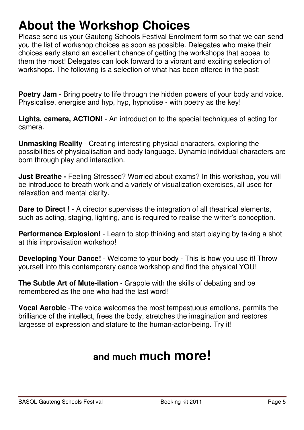# **About the Workshop Choices**

Please send us your Gauteng Schools Festival Enrolment form so that we can send you the list of workshop choices as soon as possible. Delegates who make their choices early stand an excellent chance of getting the workshops that appeal to them the most! Delegates can look forward to a vibrant and exciting selection of workshops. The following is a selection of what has been offered in the past:

**Poetry Jam** - Bring poetry to life through the hidden powers of your body and voice. Physicalise, energise and hyp, hyp, hypnotise - with poetry as the key!

**Lights, camera, ACTION!** - An introduction to the special techniques of acting for camera.

**Unmasking Reality** - Creating interesting physical characters, exploring the possibilities of physicalisation and body language. Dynamic individual characters are born through play and interaction.

**Just Breathe - Feeling Stressed? Worried about exams? In this workshop, you will** be introduced to breath work and a variety of visualization exercises, all used for relaxation and mental clarity.

**Dare to Direct !** - A director supervises the integration of all theatrical elements, such as acting, staging, lighting, and is required to realise the writer's conception.

**Performance Explosion!** - Learn to stop thinking and start playing by taking a shot at this improvisation workshop!

**Developing Your Dance!** - Welcome to your body - This is how you use it! Throw yourself into this contemporary dance workshop and find the physical YOU!

**The Subtle Art of Mute-ilation** - Grapple with the skills of debating and be remembered as the one who had the last word!

**Vocal Aerobic** -The voice welcomes the most tempestuous emotions, permits the brilliance of the intellect, frees the body, stretches the imagination and restores largesse of expression and stature to the human-actor-being. Try it!

# **and much much more!**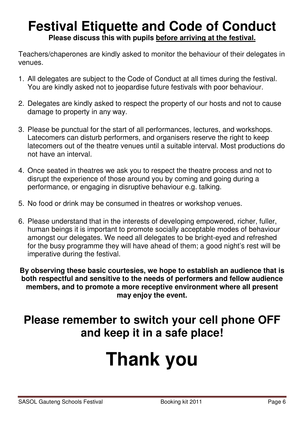# **Festival Etiquette and Code of Conduct Please discuss this with pupils before arriving at the festival.**

Teachers/chaperones are kindly asked to monitor the behaviour of their delegates in venues.

- 1. All delegates are subject to the Code of Conduct at all times during the festival. You are kindly asked not to jeopardise future festivals with poor behaviour.
- 2. Delegates are kindly asked to respect the property of our hosts and not to cause damage to property in any way.
- 3. Please be punctual for the start of all performances, lectures, and workshops. Latecomers can disturb performers, and organisers reserve the right to keep latecomers out of the theatre venues until a suitable interval. Most productions do not have an interval.
- 4. Once seated in theatres we ask you to respect the theatre process and not to disrupt the experience of those around you by coming and going during a performance, or engaging in disruptive behaviour e.g. talking.
- 5. No food or drink may be consumed in theatres or workshop venues.
- 6. Please understand that in the interests of developing empowered, richer, fuller, human beings it is important to promote socially acceptable modes of behaviour amongst our delegates. We need all delegates to be bright-eyed and refreshed for the busy programme they will have ahead of them; a good night's rest will be imperative during the festival.

**By observing these basic courtesies, we hope to establish an audience that is both respectful and sensitive to the needs of performers and fellow audience members, and to promote a more receptive environment where all present may enjoy the event.** 

# **Please remember to switch your cell phone OFF and keep it in a safe place!**

# **Thank you**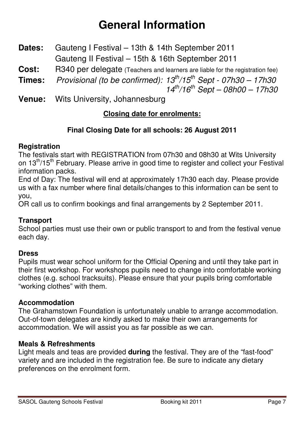# **General Information**

- **Dates:** Gauteng I Festival 13th & 14th September 2011 Gauteng II Festival – 15th & 16th September 2011
- **Cost:** R340 per delegate (Teachers and learners are liable for the registration fee)
- **Times:** Provisional (to be confirmed):  $13^{th}/15^{th}$  Sept  $07h30 17h30$  $14^{th}/16^{th}$  Sept – 08h00 – 17h30
- **Venue:** Wits University, Johannesburg

# **Closing date for enrolments:**

# **Final Closing Date for all schools: 26 August 2011**

### **Registration**

The festivals start with REGISTRATION from 07h30 and 08h30 at Wits University on 13<sup>th</sup>/15<sup>th</sup> February. Please arrive in good time to register and collect your Festival information packs.

End of Day: The festival will end at approximately 17h30 each day. Please provide us with a fax number where final details/changes to this information can be sent to you,

OR call us to confirm bookings and final arrangements by 2 September 2011.

## **Transport**

School parties must use their own or public transport to and from the festival venue each day.

#### **Dress**

Pupils must wear school uniform for the Official Opening and until they take part in their first workshop. For workshops pupils need to change into comfortable working clothes (e.g. school tracksuits). Please ensure that your pupils bring comfortable "working clothes" with them.

#### **Accommodation**

The Grahamstown Foundation is unfortunately unable to arrange accommodation. Out-of-town delegates are kindly asked to make their own arrangements for accommodation. We will assist you as far possible as we can.

#### **Meals & Refreshments**

Light meals and teas are provided **during** the festival. They are of the "fast-food" variety and are included in the registration fee. Be sure to indicate any dietary preferences on the enrolment form.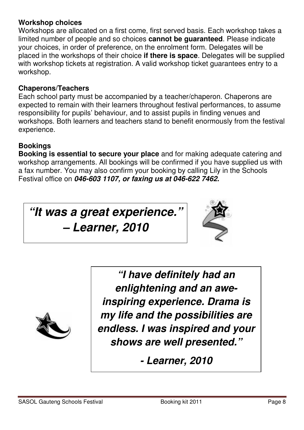#### **Workshop choices**

Workshops are allocated on a first come, first served basis. Each workshop takes a limited number of people and so choices **cannot be guaranteed**. Please indicate your choices, in order of preference, on the enrolment form. Delegates will be placed in the workshops of their choice **if there is space**. Delegates will be supplied with workshop tickets at registration. A valid workshop ticket guarantees entry to a workshop.

## **Chaperons/Teachers**

Each school party must be accompanied by a teacher/chaperon. Chaperons are expected to remain with their learners throughout festival performances, to assume responsibility for pupils' behaviour, and to assist pupils in finding venues and workshops. Both learners and teachers stand to benefit enormously from the festival experience.

# **Bookings**

**Booking is essential to secure your place** and for making adequate catering and workshop arrangements. All bookings will be confirmed if you have supplied us with a fax number. You may also confirm your booking by calling Lily in the Schools Festival office on *046-603 1107, or faxing us at 046-622 7462.* 

*"It was a great experience."* 

*– Learner, 2010* 





*"I have definitely had an enlightening and an aweinspiring experience. Drama is my life and the possibilities are endless. I was inspired and your shows are well presented."* 

*- Learner, 2010*